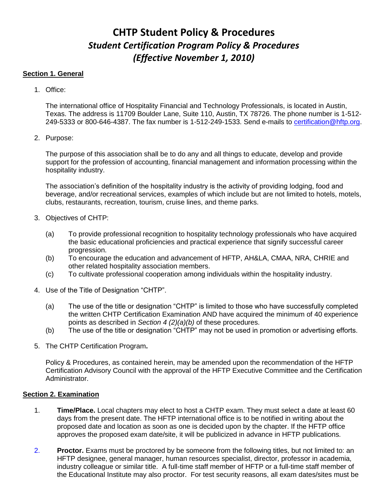# **CHTP Student Policy & Procedures** *Student Certification Program Policy & Procedures (Effective November 1, 2010)*

# **Section 1. General**

1. Office:

The international office of Hospitality Financial and Technology Professionals, is located in Austin, Texas. The address is 11709 Boulder Lane, Suite 110, Austin, TX 78726. The phone number is 1-512- 249-5333 or 800-646-4387. The fax number is 1-512-249-1533. Send e-mails to [certification@hftp.org.](mailto:certification@hftp.org)

2. Purpose:

The purpose of this association shall be to do any and all things to educate, develop and provide support for the profession of accounting, financial management and information processing within the hospitality industry.

The association's definition of the hospitality industry is the activity of providing lodging, food and beverage, and/or recreational services, examples of which include but are not limited to hotels, motels, clubs, restaurants, recreation, tourism, cruise lines, and theme parks.

- 3. Objectives of CHTP:
	- (a) To provide professional recognition to hospitality technology professionals who have acquired the basic educational proficiencies and practical experience that signify successful career progression.
	- (b) To encourage the education and advancement of HFTP, AH&LA, CMAA, NRA, CHRIE and other related hospitality association members.
	- (c) To cultivate professional cooperation among individuals within the hospitality industry.
- 4. Use of the Title of Designation "CHTP".
	- (a) The use of the title or designation "CHTP" is limited to those who have successfully completed the written CHTP Certification Examination AND have acquired the minimum of 40 experience points as described in *Section 4 (2)(a)(b)* of these procedures.
	- (b) The use of the title or designation "CHTP" may not be used in promotion or advertising efforts.
- 5. The CHTP Certification Program**.**

Policy & Procedures, as contained herein, may be amended upon the recommendation of the HFTP Certification Advisory Council with the approval of the HFTP Executive Committee and the Certification Administrator.

# **Section 2. Examination**

- 1. **Time/Place.** Local chapters may elect to host a CHTP exam. They must select a date at least 60 days from the present date. The HFTP international office is to be notified in writing about the proposed date and location as soon as one is decided upon by the chapter. If the HFTP office approves the proposed exam date/site, it will be publicized in advance in HFTP publications.
- 2. **Proctor.** Exams must be proctored by be someone from the following titles, but not limited to: an HFTP designee, general manager, human resources specialist, director, professor in academia, industry colleague or similar title. A full-time staff member of HFTP or a full-time staff member of the Educational Institute may also proctor. For test security reasons, all exam dates/sites must be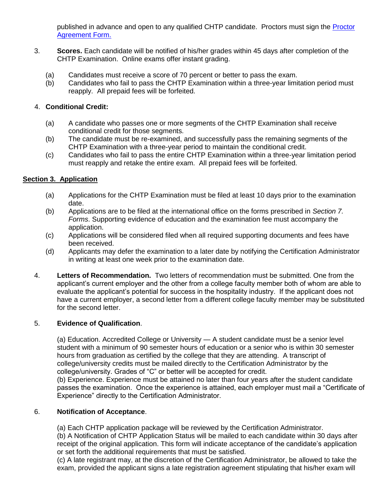published in advance and open to any qualified CHTP candidate. Proctors must sign the **Proctor** [Agreement Form.](http://www.hftp.org/Content/Forms/Certification/ProctorForm.pdf)

- 3. **Scores.** Each candidate will be notified of his/her grades within 45 days after completion of the CHTP Examination. Online exams offer instant grading.
	- (a) Candidates must receive a score of 70 percent or better to pass the exam.
	- (b) Candidates who fail to pass the CHTP Examination within a three-year limitation period must reapply. All prepaid fees will be forfeited.

# 4. **Conditional Credit:**

- (a) A candidate who passes one or more segments of the CHTP Examination shall receive conditional credit for those segments.
- (b) The candidate must be re-examined, and successfully pass the remaining segments of the CHTP Examination with a three-year period to maintain the conditional credit.
- (c) Candidates who fail to pass the entire CHTP Examination within a three-year limitation period must reapply and retake the entire exam. All prepaid fees will be forfeited.

# **Section 3. Application**

- (a) Applications for the CHTP Examination must be filed at least 10 days prior to the examination date.
- (b) Applications are to be filed at the international office on the forms prescribed in *Section 7. Forms*. Supporting evidence of education and the examination fee must accompany the application.
- (c) Applications will be considered filed when all required supporting documents and fees have been received.
- (d) Applicants may defer the examination to a later date by notifying the Certification Administrator in writing at least one week prior to the examination date.
- 4. **Letters of Recommendation.** Two letters of recommendation must be submitted. One from the applicant's current employer and the other from a college faculty member both of whom are able to evaluate the applicant's potential for success in the hospitality industry. If the applicant does not have a current employer, a second letter from a different college faculty member may be substituted for the second letter.

#### 5. **Evidence of Qualification**.

(a) Education. Accredited College or University — A student candidate must be a senior level student with a minimum of 90 semester hours of education or a senior who is within 30 semester hours from graduation as certified by the college that they are attending. A transcript of college/university credits must be mailed directly to the Certification Administrator by the college/university. Grades of "C" or better will be accepted for credit.

(b) Experience. Experience must be attained no later than four years after the student candidate passes the examination. Once the experience is attained, each employer must mail a "Certificate of Experience" directly to the Certification Administrator.

#### 6. **Notification of Acceptance**.

(a) Each CHTP application package will be reviewed by the Certification Administrator.

(b) A Notification of CHTP Application Status will be mailed to each candidate within 30 days after receipt of the original application. This form will indicate acceptance of the candidate's application or set forth the additional requirements that must be satisfied.

(c) A late registrant may, at the discretion of the Certification Administrator, be allowed to take the exam, provided the applicant signs a late registration agreement stipulating that his/her exam will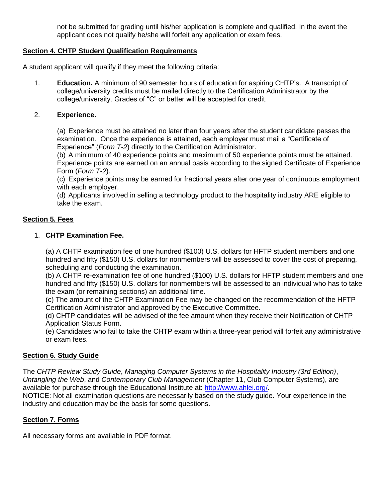not be submitted for grading until his/her application is complete and qualified. In the event the applicant does not qualify he/she will forfeit any application or exam fees.

# **Section 4. CHTP Student Qualification Requirements**

A student applicant will qualify if they meet the following criteria:

1. **Education.** A minimum of 90 semester hours of education for aspiring CHTP's. A transcript of college/university credits must be mailed directly to the Certification Administrator by the college/university. Grades of "C" or better will be accepted for credit.

#### 2. **Experience.**

(a) Experience must be attained no later than four years after the student candidate passes the examination. Once the experience is attained, each employer must mail a "Certificate of Experience" (*Form T-2*) directly to the Certification Administrator.

(b) A minimum of 40 experience points and maximum of 50 experience points must be attained. Experience points are earned on an annual basis according to the signed Certificate of Experience Form (*Form T-2*).

(c) Experience points may be earned for fractional years after one year of continuous employment with each employer.

(d) Applicants involved in selling a technology product to the hospitality industry ARE eligible to take the exam.

# **Section 5. Fees**

#### 1. **CHTP Examination Fee.**

(a) A CHTP examination fee of one hundred (\$100) U.S. dollars for HFTP student members and one hundred and fifty (\$150) U.S. dollars for nonmembers will be assessed to cover the cost of preparing, scheduling and conducting the examination.

(b) A CHTP re-examination fee of one hundred (\$100) U.S. dollars for HFTP student members and one hundred and fifty (\$150) U.S. dollars for nonmembers will be assessed to an individual who has to take the exam (or remaining sections) an additional time.

(c) The amount of the CHTP Examination Fee may be changed on the recommendation of the HFTP Certification Administrator and approved by the Executive Committee.

(d) CHTP candidates will be advised of the fee amount when they receive their Notification of CHTP Application Status Form.

(e) Candidates who fail to take the CHTP exam within a three-year period will forfeit any administrative or exam fees.

#### **Section 6. Study Guide**

The *CHTP Review Study Guide*, *Managing Computer Systems in the Hospitality Industry (3rd Edition)*, *Untangling the Web*, and *Contemporary Club Management* (Chapter 11, Club Computer Systems), are available for purchase through the Educational Institute at: [http://www.ahlei.org/.](http://www.ahlei.org/)

NOTICE: Not all examination questions are necessarily based on the study guide. Your experience in the industry and education may be the basis for some questions.

#### **Section 7. Forms**

All necessary forms are available in PDF format.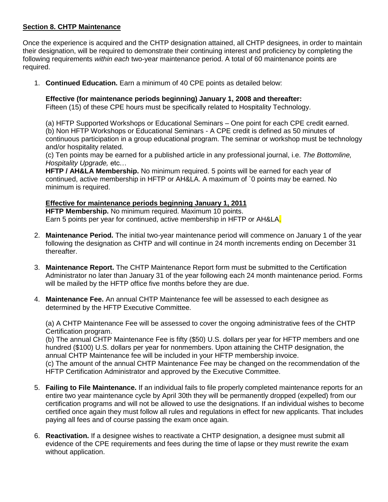## **Section 8. CHTP Maintenance**

Once the experience is acquired and the CHTP designation attained, all CHTP designees, in order to maintain their designation, will be required to demonstrate their continuing interest and proficiency by completing the following requirements *within each* two-year maintenance period. A total of 60 maintenance points are required.

1. **Continued Education.** Earn a minimum of 40 CPE points as detailed below:

## **Effective (for maintenance periods beginning) January 1, 2008 and thereafter:**

Fifteen (15) of these CPE hours must be specifically related to Hospitality Technology.

(a) HFTP Supported Workshops or Educational Seminars – One point for each CPE credit earned. (b) Non HFTP Workshops or Educational Seminars - A CPE credit is defined as 50 minutes of continuous participation in a group educational program. The seminar or workshop must be technology and/or hospitality related.

(c) Ten points may be earned for a published article in any professional journal, i.e. *The Bottomline, Hospitality Upgrade,* etc…

**HFTP / AH&LA Membership.** No minimum required. 5 points will be earned for each year of continued, active membership in HFTP or AH&LA. A maximum of `0 points may be earned. No minimum is required.

#### **Effective for maintenance periods beginning January 1, 2011**

**HFTP Membership.** No minimum required. Maximum 10 points. Earn 5 points per year for continued, active membership in HFTP or AH&LA.

- 2. **Maintenance Period.** The initial two-year maintenance period will commence on January 1 of the year following the designation as CHTP and will continue in 24 month increments ending on December 31 thereafter.
- 3. **Maintenance Report.** The CHTP Maintenance Report form must be submitted to the Certification Administrator no later than January 31 of the year following each 24 month maintenance period. Forms will be mailed by the HFTP office five months before they are due.
- 4. **Maintenance Fee.** An annual CHTP Maintenance fee will be assessed to each designee as determined by the HFTP Executive Committee.

(a) A CHTP Maintenance Fee will be assessed to cover the ongoing administrative fees of the CHTP Certification program.

(b) The annual CHTP Maintenance Fee is fifty (\$50) U.S. dollars per year for HFTP members and one hundred (\$100) U.S. dollars per year for nonmembers. Upon attaining the CHTP designation, the annual CHTP Maintenance fee will be included in your HFTP membership invoice.

(c) The amount of the annual CHTP Maintenance Fee may be changed on the recommendation of the HFTP Certification Administrator and approved by the Executive Committee.

- 5. **Failing to File Maintenance.** If an individual fails to file properly completed maintenance reports for an entire two year maintenance cycle by April 30th they will be permanently dropped (expelled) from our certification programs and will not be allowed to use the designations. If an individual wishes to become certified once again they must follow all rules and regulations in effect for new applicants. That includes paying all fees and of course passing the exam once again.
- 6. **Reactivation.** If a designee wishes to reactivate a CHTP designation, a designee must submit all evidence of the CPE requirements and fees during the time of lapse or they must rewrite the exam without application.